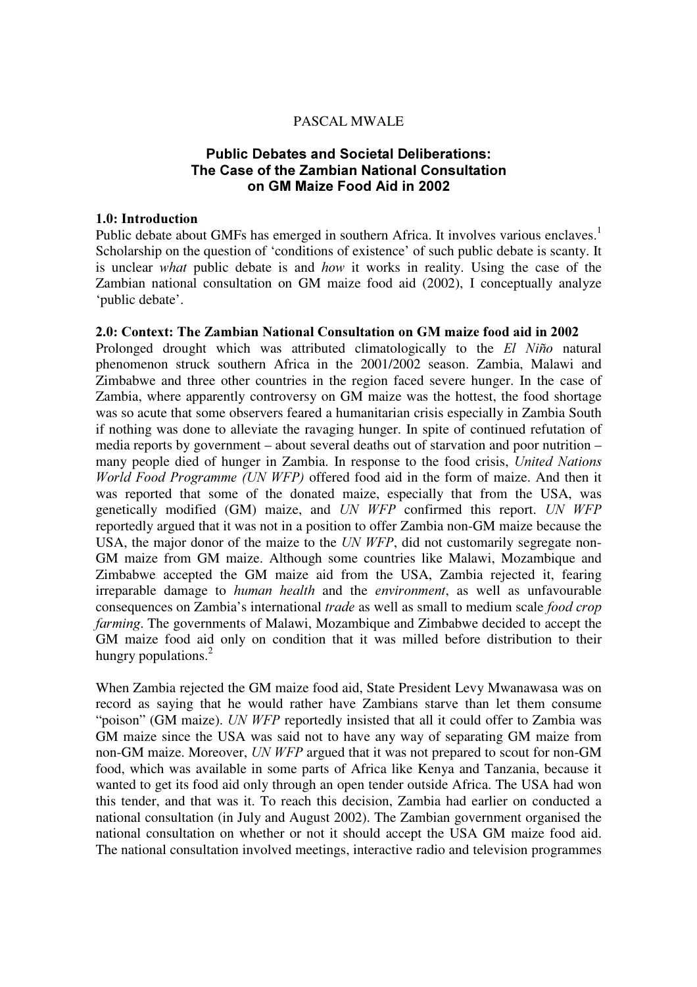### PASCAL MWALE

# Public Debates and Societal Deliberations: The Case of the Zambian National Consultation on GM Maize Food Aid in 2002

#### 1.0: Introduction

Public debate about GMFs has emerged in southern Africa. It involves various enclaves.<sup>1</sup> Scholarship on the question of 'conditions of existence' of such public debate is scanty. It is unclear what public debate is and how it works in reality. Using the case of the Zambian national consultation on GM maize food aid (2002), I conceptually analyze 'public debate'.

### 2.0: Context: The Zambian National Consultation on GM maize food aid in 2002

Prolonged drought which was attributed climatologically to the  $El Niño$  natural phenomenon struck southern Africa in the 2001/2002 season. Zambia, Malawi and Zimbabwe and three other countries in the region faced severe hunger. In the case of Zambia, where apparently controversy on GM maize was the hottest, the food shortage was so acute that some observers feared a humanitarian crisis especially in Zambia South if nothing was done to alleviate the ravaging hunger. In spite of continued refutation of media reports by government – about several deaths out of starvation and poor nutrition – many people died of hunger in Zambia. In response to the food crisis, United Nations World Food Programme (UN WFP) offered food aid in the form of maize. And then it was reported that some of the donated maize, especially that from the USA, was genetically modified  $(GM)$  maize, and UN WFP confirmed this report. UN WFP reportedly argued that it was not in a position to offer Zambia non-GM maize because the USA, the major donor of the maize to the  $UN WFP$ , did not customarily segregate non-GM maize from GM maize. Although some countries like Malawi, Mozambique and Zimbabwe accepted the GM maize aid from the USA, Zambia rejected it, fearing irreparable damage to *human health* and the *environment*, as well as unfavourable consequences on Zambia's international *trade* as well as small to medium scale *food crop farming*. The governments of Malawi, Mozambique and Zimbabwe decided to accept the GM maize food aid only on condition that it was milled before distribution to their hungry populations. $^{2}$ 

When Zambia rejected the GM maize food aid, State President Levy Mwanawasa was on record as saying that he would rather have Zambians starve than let them consume "poison" (GM maize). UN WFP reportedly insisted that all it could offer to Zambia was GM maize since the USA was said not to have any way of separating GM maize from non-GM maize. Moreover, UN WFP argued that it was not prepared to scout for non-GM food, which was available in some parts of Africa like Kenya and Tanzania, because it wanted to get its food aid only through an open tender outside Africa. The USA had won this tender, and that was it. To reach this decision, Zambia had earlier on conducted a national consultation (in July and August 2002). The Zambian government organised the national consultation on whether or not it should accept the USA GM maize food aid. The national consultation involved meetings, interactive radio and television programmes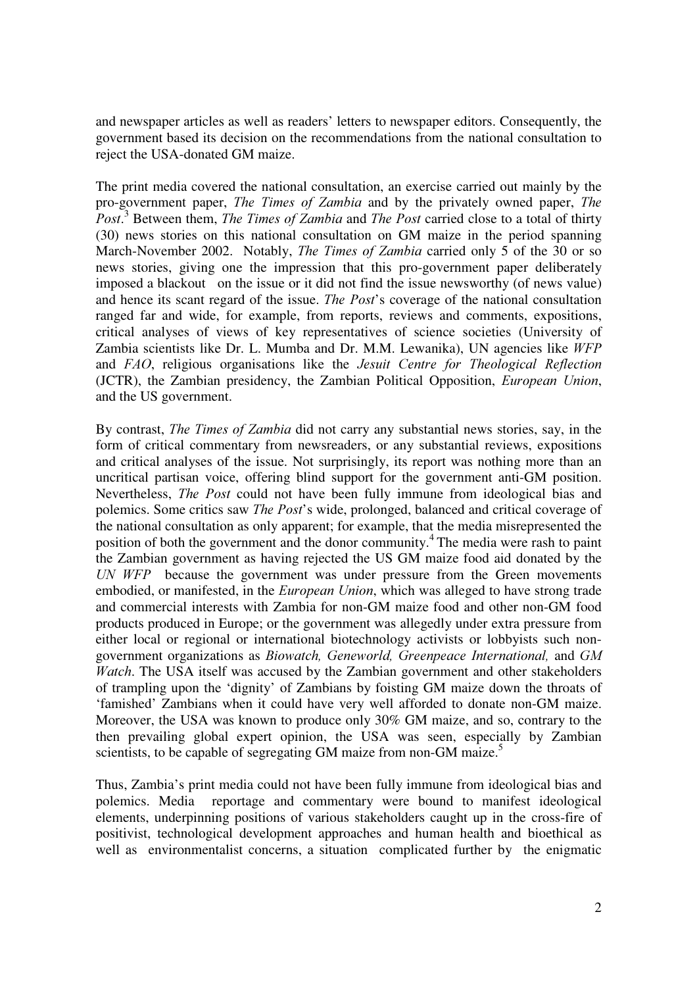and newspaper articles as well as readers' letters to newspaper editors. Consequently, the government based its decision on the recommendations from the national consultation to reject the USA-donated GM maize.

The print media covered the national consultation, an exercise carried out mainly by the pro-government paper, *The Times of Zambia* and by the privately owned paper, *The* Post.<sup>3</sup> Between them, The Times of Zambia and The Post carried close to a total of thirty (30) news stories on this national consultation on GM maize in the period spanning March-November 2002. Notably, *The Times of Zambia* carried only 5 of the 30 or so news stories, giving one the impression that this pro-government paper deliberately imposed a blackout on the issue or it did not find the issue newsworthy (of news value) and hence its scant regard of the issue. The Post's coverage of the national consultation ranged far and wide, for example, from reports, reviews and comments, expositions, critical analyses of views of key representatives of science societies (University of Zambia scientists like Dr. L. Mumba and Dr. M.M. Lewanika), UN agencies like  $WFP$ and  $FAO$ , religious organisations like the *Jesuit Centre for Theological Reflection* (JCTR), the Zambian presidency, the Zambian Political Opposition, *European Union*, and the US government.

By contrast, *The Times of Zambia* did not carry any substantial news stories, say, in the form of critical commentary from newsreaders, or any substantial reviews, expositions and critical analyses of the issue. Not surprisingly, its report was nothing more than an uncritical partisan voice, offering blind support for the government anti-GM position. Nevertheless, *The Post* could not have been fully immune from ideological bias and polemics. Some critics saw *The Post's* wide, prolonged, balanced and critical coverage of the national consultation as only apparent; for example, that the media misrepresented the position of both the government and the donor community.<sup>4</sup>The media were rash to paint the Zambian government as having rejected the US GM maize food aid donated by the UN  $WFP$  because the government was under pressure from the Green movements embodied, or manifested, in the *European Union*, which was alleged to have strong trade and commercial interests with Zambia for non-GM maize food and other non-GM food products produced in Europe; or the government was allegedly under extra pressure from either local or regional or international biotechnology activists or lobbyists such nongovernment organizations as *Biowatch*, Geneworld, Greenpeace International, and GM Watch. The USA itself was accused by the Zambian government and other stakeholders of trampling upon the 'dignity' of Zambians by foisting GM maize down the throats of 'famished' Zambians when it could have very well afforded to donate non-GM maize. Moreover, the USA was known to produce only 30% GM maize, and so, contrary to the then prevailing global expert opinion, the USA was seen, especially by Zambian scientists, to be capable of segregating GM maize from non-GM maize.<sup>5</sup>

Thus, Zambia's print media could not have been fully immune from ideological bias and polemics. Media reportage and commentary were bound to manifest ideological elements, underpinning positions of various stakeholders caught up in the cross-fire of positivist, technological development approaches and human health and bioethical as well as environmentalist concerns, a situation complicated further by the enigmatic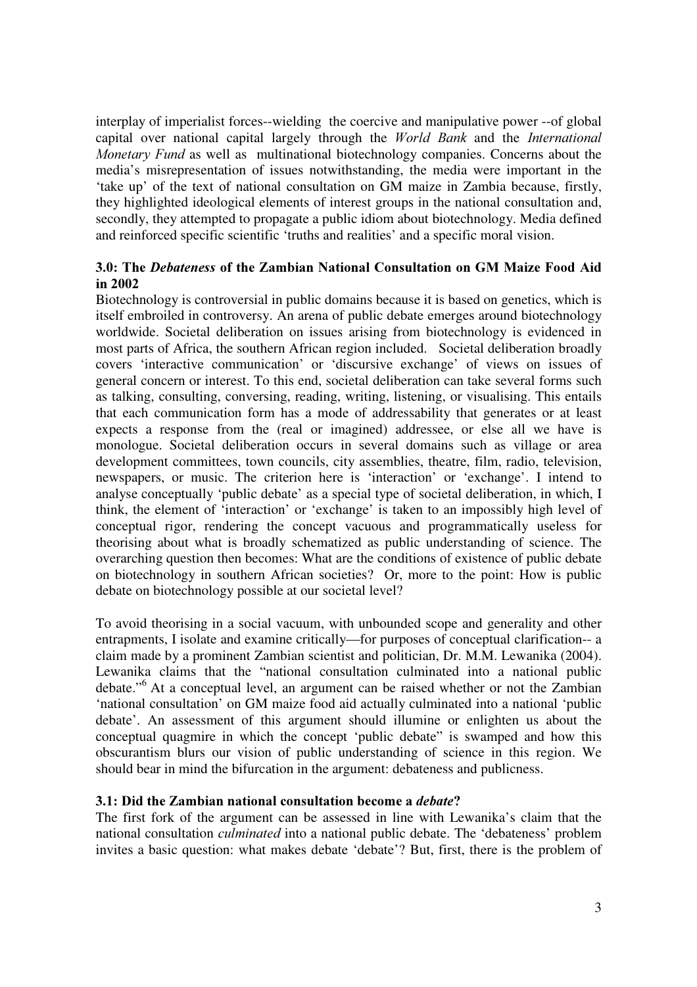interplay of imperialist forces--wielding the coercive and manipulative power --of global capital over national capital largely through the World Bank and the International Monetary Fund as well as multinational biotechnology companies. Concerns about the media's misrepresentation of issues notwithstanding, the media were important in the 'take up' of the text of national consultation on GM maize in Zambia because, firstly, they highlighted ideological elements of interest groups in the national consultation and, secondly, they attempted to propagate a public idiom about biotechnology. Media defined and reinforced specific scientific 'truths and realities' and a specific moral vision.

# 3.0: The Debateness of the Zambian National Consultation on GM Maize Food Aid in  $2002$

Biotechnology is controversial in public domains because it is based on genetics, which is itself embroiled in controversy. An arena of public debate emerges around biotechnology worldwide. Societal deliberation on issues arising from biotechnology is evidenced in most parts of Africa, the southern African region included. Societal deliberation broadly covers 'interactive communication' or 'discursive exchange' of views on issues of general concern or interest. To this end, societal deliberation can take several forms such as talking, consulting, conversing, reading, writing, listening, or visualising. This entails that each communication form has a mode of addressability that generates or at least expects a response from the (real or imagined) addressee, or else all we have is monologue. Societal deliberation occurs in several domains such as village or area development committees, town councils, city assemblies, theatre, film, radio, television, newspapers, or music. The criterion here is 'interaction' or 'exchange'. I intend to analyse conceptually 'public debate' as a special type of societal deliberation, in which, I think, the element of 'interaction' or 'exchange' is taken to an impossibly high level of conceptual rigor, rendering the concept vacuous and programmatically useless for theorising about what is broadly schematized as public understanding of science. The overarching question then becomes: What are the conditions of existence of public debate on biotechnology in southern African societies? Or, more to the point: How is public debate on biotechnology possible at our societal level?

To avoid theorising in a social vacuum, with unbounded scope and generality and other entrapments, I isolate and examine critically—for purposes of conceptual clarification-- a claim made by a prominent Zambian scientist and politician, Dr. M.M. Lewanika (2004). Lewanika claims that the "national consultation culminated into a national public debate."<sup>6</sup>At a conceptual level, an argument can be raised whether or not the Zambian 'national consultation' on GM maize food aid actually culminated into a national 'public debate'. An assessment of this argument should illumine or enlighten us about the conceptual quagmire in which the concept 'public debate" is swamped and how this obscurantism blurs our vision of public understanding of science in this region. We should bear in mind the bifurcation in the argument: debateness and publicness.

## 3.1: Did the Zambian national consultation become a *debate*?

The first fork of the argument can be assessed in line with Lewanika's claim that the national consultation *culminated* into a national public debate. The 'debateness' problem invites a basic question: what makes debate 'debate'? But, first, there is the problem of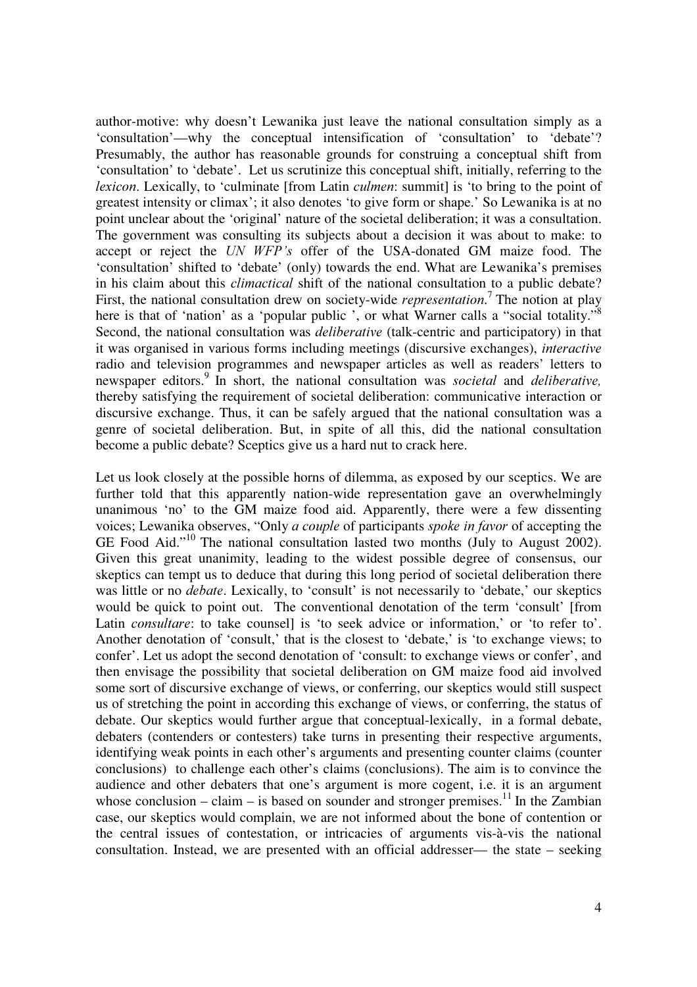author-motive: why doesn't Lewanika just leave the national consultation simply as a 'consultation'—why the conceptual intensification of 'consultation' to 'debate'? Presumably, the author has reasonable grounds for construing a conceptual shift from 'consultation' to 'debate'. Let us scrutinize this conceptual shift, initially, referring to the *lexicon*. Lexically, to 'culminate [from Latin *culmen*: summit] is 'to bring to the point of greatest intensity or climax'; it also denotes 'to give form or shape.' So Lewanika is at no point unclear about the 'original' nature of the societal deliberation; it was a consultation. The government was consulting its subjects about a decision it was about to make: to accept or reject the UN WFP's offer of the USA-donated GM maize food. The 'consultation' shifted to 'debate' (only) towards the end. What are Lewanika's premises in his claim about this *climactical* shift of the national consultation to a public debate? First, the national consultation drew on society-wide *representation*.<sup>7</sup> The notion at play here is that of 'nation' as a 'popular public ', or what Warner calls a "social totality."<sup>8</sup> Second, the national consultation was *deliberative* (talk-centric and participatory) in that it was organised in various forms including meetings (discursive exchanges), *interactive* radio and television programmes and newspaper articles as well as readers' letters to newspaper editors.<sup>9</sup> In short, the national consultation was *societal* and *deliberative*, thereby satisfying the requirement of societal deliberation: communicative interaction or discursive exchange. Thus, it can be safely argued that the national consultation was a genre of societal deliberation. But, in spite of all this, did the national consultation become a public debate? Sceptics give us a hard nut to crack here.

Let us look closely at the possible horns of dilemma, as exposed by our sceptics. We are further told that this apparently nation-wide representation gave an overwhelmingly unanimous 'no' to the GM maize food aid. Apparently, there were a few dissenting voices; Lewanika observes, "Only *a couple* of participants *spoke in favor* of accepting the GE Food Aid."<sup>10</sup> The national consultation lasted two months (July to August 2002). Given this great unanimity, leading to the widest possible degree of consensus, our skeptics can tempt us to deduce that during this long period of societal deliberation there was little or no *debate*. Lexically, to 'consult' is not necessarily to 'debate,' our skeptics would be quick to point out. The conventional denotation of the term 'consult' [from Latin *consultare*: to take counsell is 'to seek advice or information,' or 'to refer to'. Another denotation of 'consult,' that is the closest to 'debate,' is 'to exchange views; to confer'. Let us adopt the second denotation of 'consult: to exchange views or confer', and then envisage the possibility that societal deliberation on GM maize food aid involved some sort of discursive exchange of views, or conferring, our skeptics would still suspect us of stretching the point in according this exchange of views, or conferring, the status of debate. Our skeptics would further argue that conceptual-lexically, in a formal debate, debaters (contenders or contesters) take turns in presenting their respective arguments, identifying weak points in each other's arguments and presenting counter claims (counter conclusions) to challenge each other's claims (conclusions). The aim is to convince the audience and other debaters that one's argument is more cogent, i.e. it is an argument whose conclusion – claim – is based on sounder and stronger premises.<sup>11</sup> In the Zambian case, our skeptics would complain, we are not informed about the bone of contention or the central issues of contestation, or intricacies of arguments vis-à-vis the national consultation. Instead, we are presented with an official addresser— the state – seeking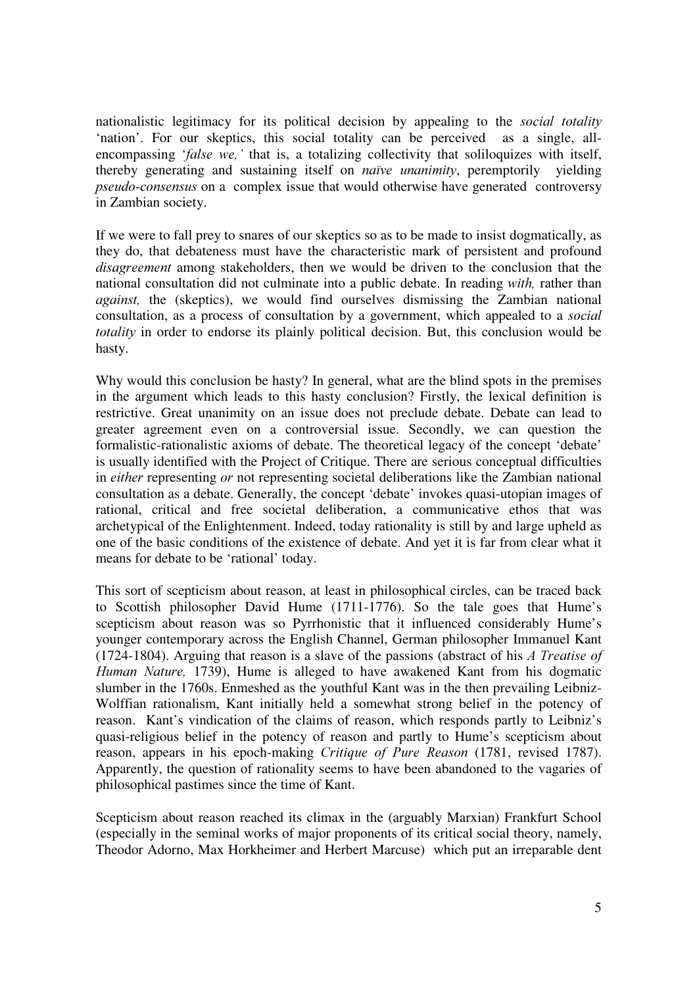nationalistic legitimacy for its political decision by appealing to the *social totality* 'nation'. For our skeptics, this social totality can be perceived as a single, allencompassing ' $false$  we,' that is, a totalizing collectivity that soliloquizes with itself, thereby generating and sustaining itself on *naïve unanimity*, peremptorily vielding pseudo-consensus on a complex issue that would otherwise have generated controversy in Zambian society.

If we were to fall prey to snares of our skeptics so as to be made to insist dogmatically, as they do, that debateness must have the characteristic mark of persistent and profound disagreement among stakeholders, then we would be driven to the conclusion that the national consultation did not culminate into a public debate. In reading with, rather than against, the (skeptics), we would find ourselves dismissing the Zambian national consultation, as a process of consultation by a government, which appealed to a *social totality* in order to endorse its plainly political decision. But, this conclusion would be hasty.

Why would this conclusion be hasty? In general, what are the blind spots in the premises in the argument which leads to this hasty conclusion? Firstly, the lexical definition is restrictive. Great unanimity on an issue does not preclude debate. Debate can lead to greater agreement even on a controversial issue. Secondly, we can question the formalistic-rationalistic axioms of debate. The theoretical legacy of the concept 'debate' is usually identified with the Project of Critique. There are serious conceptual difficulties in either representing or not representing societal deliberations like the Zambian national consultation as a debate. Generally, the concept 'debate' invokes quasi-utopian images of rational, critical and free societal deliberation, a communicative ethos that was archetypical of the Enlightenment. Indeed, today rationality is still by and large upheld as one of the basic conditions of the existence of debate. And yet it is far from clear what it means for debate to be 'rational' today.

This sort of scepticism about reason, at least in philosophical circles, can be traced back to Scottish philosopher David Hume (1711-1776). So the tale goes that Hume's scepticism about reason was so Pyrrhonistic that it influenced considerably Hume's younger contemporary across the English Channel, German philosopher Immanuel Kant (1724-1804). Arguing that reason is a slave of the passions (abstract of his  $\Lambda$  Treatise of Human Nature, 1739), Hume is alleged to have awakened Kant from his dogmatic slumber in the 1760s. Enmeshed as the youthful Kant was in the then prevailing Leibniz-Wolffian rationalism, Kant initially held a somewhat strong belief in the potency of reason. Kant's vindication of the claims of reason, which responds partly to Leibniz's quasi-religious belief in the potency of reason and partly to Hume's scepticism about reason, appears in his epoch-making *Critique of Pure Reason* (1781, revised 1787). Apparently, the question of rationality seems to have been abandoned to the vagaries of philosophical pastimes since the time of Kant.

Scepticism about reason reached its climax in the (arguably Marxian) Frankfurt School (especially in the seminal works of major proponents of its critical social theory, namely, Theodor Adorno, Max Horkheimer and Herbert Marcuse) which put an irreparable dent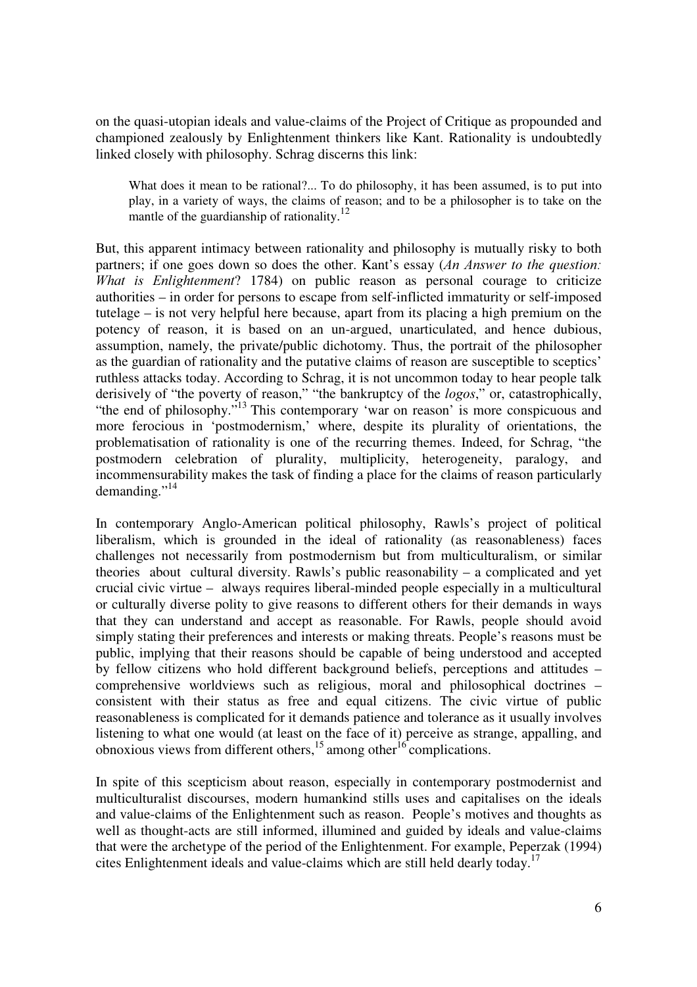on the quasi-utopian ideals and value-claims of the Project of Critique as propounded and championed zealously by Enlightenment thinkers like Kant. Rationality is undoubtedly linked closely with philosophy. Schrag discerns this link:

What does it mean to be rational?... To do philosophy, it has been assumed, is to put into play, in a variety of ways, the claims of reason; and to be a philosopher is to take on the mantle of the guardianship of rationality.<sup>12</sup>

But, this apparent intimacy between rationality and philosophy is mutually risky to both partners; if one goes down so does the other. Kant's essay  $(An Answer to the question)$ What is Enlightenment? 1784) on public reason as personal courage to criticize authorities – in order for persons to escape from self-inflicted immaturity or self-imposed tutelage – is not very helpful here because, apart from its placing a high premium on the potency of reason, it is based on an un-argued, unarticulated, and hence dubious, assumption, namely, the private/public dichotomy. Thus, the portrait of the philosopher as the guardian of rationality and the putative claims of reason are susceptible to sceptics' ruthless attacks today. According to Schrag, it is not uncommon today to hear people talk derisively of "the poverty of reason," "the bankruptcy of the logos," or, catastrophically, "the end of philosophy."<sup>13</sup> This contemporary 'war on reason' is more conspicuous and more ferocious in 'postmodernism,' where, despite its plurality of orientations, the problematisation of rationality is one of the recurring themes. Indeed, for Schrag, "the postmodern celebration of plurality, multiplicity, heterogeneity, paralogy, and incommensurability makes the task of finding a place for the claims of reason particularly demanding."<sup>14</sup>

In contemporary Anglo-American political philosophy, Rawls's project of political liberalism, which is grounded in the ideal of rationality (as reasonableness) faces challenges not necessarily from postmodernism but from multiculturalism, or similar theories about cultural diversity. Rawls's public reasonability – a complicated and yet crucial civic virtue – always requires liberal-minded people especially in a multicultural or culturally diverse polity to give reasons to different others for their demands in ways that they can understand and accept as reasonable. For Rawls, people should avoid simply stating their preferences and interests or making threats. People's reasons must be public, implying that their reasons should be capable of being understood and accepted by fellow citizens who hold different background beliefs, perceptions and attitudes – comprehensive worldviews such as religious, moral and philosophical doctrines – consistent with their status as free and equal citizens. The civic virtue of public reasonableness is complicated for it demands patience and tolerance as it usually involves listening to what one would (at least on the face of it) perceive as strange, appalling, and obnoxious views from different others,<sup>15</sup> among other<sup>16</sup> complications.

In spite of this scepticism about reason, especially in contemporary postmodernist and multiculturalist discourses, modern humankind stills uses and capitalises on the ideals and value-claims of the Enlightenment such as reason. People's motives and thoughts as well as thought-acts are still informed, illumined and guided by ideals and value-claims that were the archetype of the period of the Enlightenment. For example, Peperzak (1994) cites Enlightenment ideals and value-claims which are still held dearly today. 17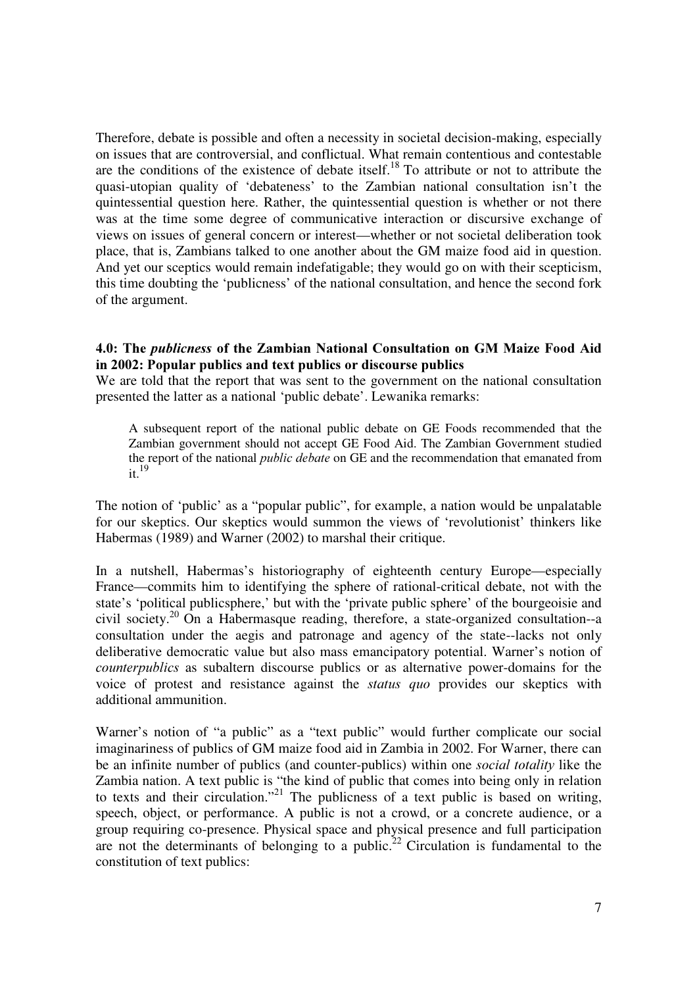Therefore, debate is possible and often a necessity in societal decision-making, especially on issues that are controversial, and conflictual. What remain contentious and contestable are the conditions of the existence of debate itself.<sup>18</sup> To attribute or not to attribute the quasi-utopian quality of 'debateness' to the Zambian national consultation isn't the quintessential question here. Rather, the quintessential question is whether or not there was at the time some degree of communicative interaction or discursive exchange of views on issues of general concern or interest—whether or not societal deliberation took place, that is, Zambians talked to one another about the GM maize food aid in question. And yet our sceptics would remain indefatigable; they would go on with their scepticism, this time doubting the 'publicness' of the national consultation, and hence the second fork of the argument.

### 4.0: The *publicness* of the Zambian National Consultation on GM Maize Food Aid in 2002: Popular publics and text publics or discourse publics

We are told that the report that was sent to the government on the national consultation presented the latter as a national 'public debate'. Lewanika remarks:

A subsequent report of the national public debate on GE Foods recommended that the Zambian government should not accept GE Food Aid. The Zambian Government studied the report of the national *public debate* on GE and the recommendation that emanated from it. $19$ 

The notion of 'public' as a "popular public", for example, a nation would be unpalatable for our skeptics. Our skeptics would summon the views of 'revolutionist' thinkers like Habermas (1989) and Warner (2002) to marshal their critique.

In a nutshell, Habermas's historiography of eighteenth century Europe—especially France—commits him to identifying the sphere of rational-critical debate, not with the state's 'political publicsphere,' but with the 'private public sphere' of the bourgeoisie and civil society.<sup>20</sup> On a Habermasque reading, therefore, a state-organized consultation--a consultation under the aegis and patronage and agency of the state--lacks not only deliberative democratic value but also mass emancipatory potential. Warner's notion of counterpublics as subaltern discourse publics or as alternative power-domains for the voice of protest and resistance against the *status quo* provides our skeptics with additional ammunition.

Warner's notion of "a public" as a "text public" would further complicate our social imaginariness of publics of GM maize food aid in Zambia in 2002. For Warner, there can be an infinite number of publics (and counter-publics) within one *social totality* like the Zambia nation. A text public is "the kind of public that comes into being only in relation to texts and their circulation."<sup>21</sup> The publicness of a text public is based on writing, speech, object, or performance. A public is not a crowd, or a concrete audience, or a group requiring co-presence. Physical space and physical presence and full participation are not the determinants of belonging to a public.<sup>22</sup> Circulation is fundamental to the constitution of text publics: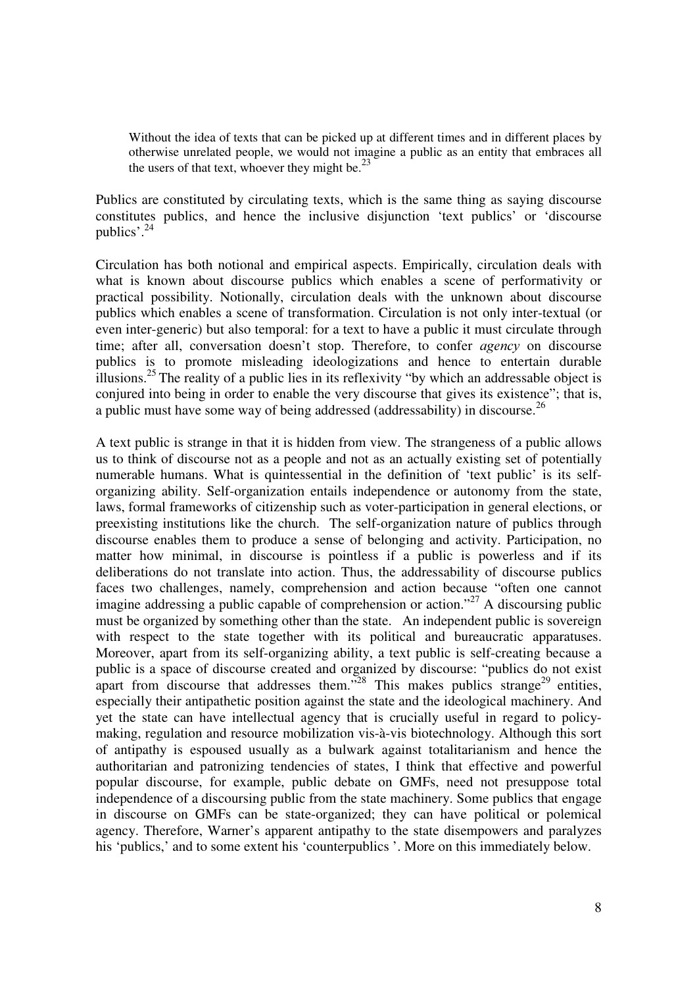Without the idea of texts that can be picked up at different times and in different places by otherwise unrelated people, we would not imagine a public as an entity that embraces all the users of that text, whoever they might be. $^{23}$ 

Publics are constituted by circulating texts, which is the same thing as saying discourse constitutes publics, and hence the inclusive disjunction 'text publics' or 'discourse publics'.<sup>24</sup>

Circulation has both notional and empirical aspects. Empirically, circulation deals with what is known about discourse publics which enables a scene of performativity or practical possibility. Notionally, circulation deals with the unknown about discourse publics which enables a scene of transformation. Circulation is not only inter-textual (or even inter-generic) but also temporal: for a text to have a public it must circulate through time; after all, conversation doesn't stop. Therefore, to confer *agency* on discourse publics is to promote misleading ideologizations and hence to entertain durable illusions.<sup>25</sup> The reality of a public lies in its reflexivity "by which an addressable object is conjured into being in order to enable the very discourse that gives its existence"; that is, a public must have some way of being addressed (addressability) in discourse.<sup>26</sup>

A text public is strange in that it is hidden from view. The strangeness of a public allows us to think of discourse not as a people and not as an actually existing set of potentially numerable humans. What is quintessential in the definition of 'text public' is its selforganizing ability. Self-organization entails independence or autonomy from the state, laws, formal frameworks of citizenship such as voter-participation in general elections, or preexisting institutions like the church. The self-organization nature of publics through discourse enables them to produce a sense of belonging and activity. Participation, no matter how minimal, in discourse is pointless if a public is powerless and if its deliberations do not translate into action. Thus, the addressability of discourse publics faces two challenges, namely, comprehension and action because "often one cannot imagine addressing a public capable of comprehension or action."<sup>27</sup> A discoursing public must be organized by something other than the state. An independent public is sovereign with respect to the state together with its political and bureaucratic apparatuses. Moreover, apart from its self-organizing ability, a text public is self-creating because a public is a space of discourse created and organized by discourse: "publics do not exist apart from discourse that addresses them.<sup>528</sup> This makes publics strange<sup>29</sup> entities, especially their antipathetic position against the state and the ideological machinery. And yet the state can have intellectual agency that is crucially useful in regard to policymaking, regulation and resource mobilization vis-à-vis biotechnology. Although this sort of antipathy is espoused usually as a bulwark against totalitarianism and hence the authoritarian and patronizing tendencies of states, I think that effective and powerful popular discourse, for example, public debate on GMFs, need not presuppose total independence of a discoursing public from the state machinery. Some publics that engage in discourse on GMFs can be state-organized; they can have political or polemical agency. Therefore, Warner's apparent antipathy to the state disempowers and paralyzes his 'publics,' and to some extent his 'counterpublics'. More on this immediately below.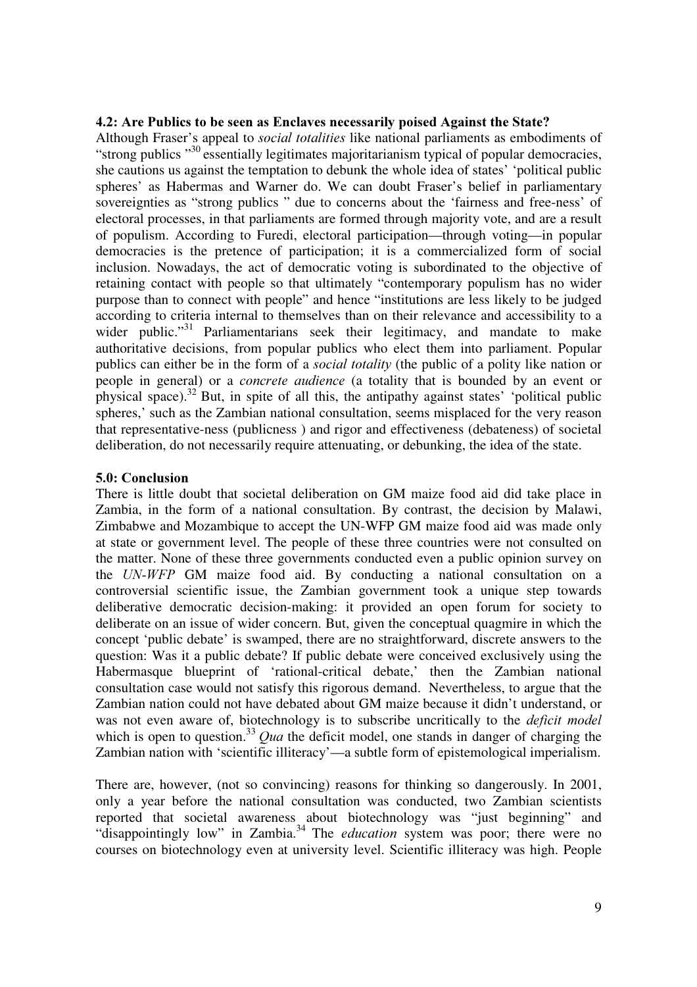### 4.2: Are Publics to be seen as Enclaves necessarily poised Against the State?

Although Fraser's appeal to *social totalities* like national parliaments as embodiments of "strong publics  $\frac{30}{10}$  essentially legitimates majoritarianism typical of popular democracies, she cautions us against the temptation to debunk the whole idea of states' 'political public spheres' as Habermas and Warner do. We can doubt Fraser's belief in parliamentary sovereignties as "strong publics " due to concerns about the 'fairness and free-ness' of electoral processes, in that parliaments are formed through majority vote, and are a result of populism. According to Furedi, electoral participation—through voting—in popular democracies is the pretence of participation; it is a commercialized form of social inclusion. Nowadays, the act of democratic voting is subordinated to the objective of retaining contact with people so that ultimately "contemporary populism has no wider purpose than to connect with people" and hence "institutions are less likely to be judged according to criteria internal to themselves than on their relevance and accessibility to a wider public. $131$  Parliamentarians seek their legitimacy, and mandate to make authoritative decisions, from popular publics who elect them into parliament. Popular publics can either be in the form of a *social totality* (the public of a polity like nation or people in general) or a *concrete audience* (a totality that is bounded by an event or physical space).<sup>32</sup> But, in spite of all this, the antipathy against states' 'political public spheres,' such as the Zambian national consultation, seems misplaced for the very reason that representative-ness (publicness ) and rigor and effectiveness (debateness) of societal deliberation, do not necessarily require attenuating, or debunking, the idea of the state.

### 5.0: Conclusion

There is little doubt that societal deliberation on GM maize food aid did take place in Zambia, in the form of a national consultation. By contrast, the decision by Malawi, Zimbabwe and Mozambique to accept the UN-WFP GM maize food aid was made only at state or government level. The people of these three countries were not consulted on the matter. None of these three governments conducted even a public opinion survey on the  $UN-WFP$  GM maize food aid. By conducting a national consultation on a controversial scientific issue, the Zambian government took a unique step towards deliberative democratic decision-making: it provided an open forum for society to deliberate on an issue of wider concern. But, given the conceptual quagmire in which the concept 'public debate' is swamped, there are no straightforward, discrete answers to the question: Was it a public debate? If public debate were conceived exclusively using the Habermasque blueprint of 'rational-critical debate,' then the Zambian national consultation case would not satisfy this rigorous demand. Nevertheless, to argue that the Zambian nation could not have debated about GM maize because it didn't understand, or was not even aware of, biotechnology is to subscribe uncritically to the *deficit model* which is open to question.<sup>33</sup> Qua the deficit model, one stands in danger of charging the Zambian nation with 'scientific illiteracy'—a subtle form of epistemological imperialism.

There are, however, (not so convincing) reasons for thinking so dangerously. In 2001, only a year before the national consultation was conducted, two Zambian scientists reported that societal awareness about biotechnology was "just beginning" and "disappointingly low" in Zambia.<sup>34</sup> The *education* system was poor; there were no courses on biotechnology even at university level. Scientific illiteracy was high. People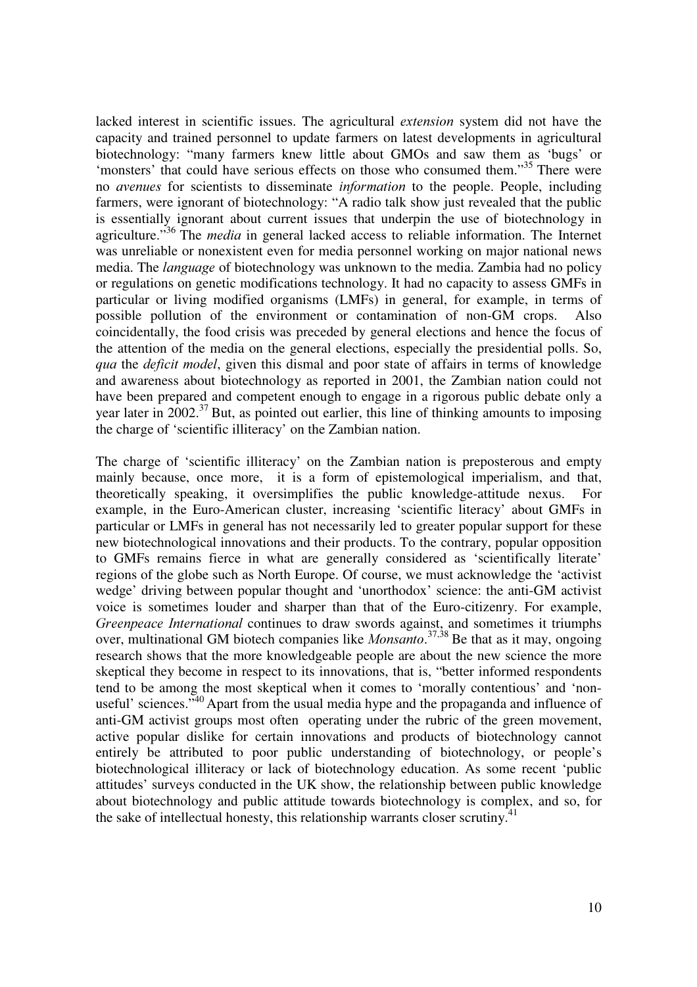lacked interest in scientific issues. The agricultural *extension* system did not have the capacity and trained personnel to update farmers on latest developments in agricultural biotechnology: "many farmers knew little about GMOs and saw them as 'bugs' or 'monsters' that could have serious effects on those who consumed them."<sup>35</sup> There were no *avenues* for scientists to disseminate *information* to the people. People, including farmers, were ignorant of biotechnology: "A radio talk show just revealed that the public is essentially ignorant about current issues that underpin the use of biotechnology in agriculture."<sup>36</sup> The *media* in general lacked access to reliable information. The Internet was unreliable or nonexistent even for media personnel working on major national news media. The *language* of biotechnology was unknown to the media. Zambia had no policy or regulations on genetic modifications technology. It had no capacity to assess GMFs in particular or living modified organisms (LMFs) in general, for example, in terms of possible pollution of the environment or contamination of non-GM crops. Also coincidentally, the food crisis was preceded by general elections and hence the focus of the attention of the media on the general elections, especially the presidential polls. So, qua the deficit model, given this dismal and poor state of affairs in terms of knowledge and awareness about biotechnology as reported in 2001, the Zambian nation could not have been prepared and competent enough to engage in a rigorous public debate only a year later in  $2002.^{37}$  But, as pointed out earlier, this line of thinking amounts to imposing the charge of 'scientific illiteracy' on the Zambian nation.

The charge of 'scientific illiteracy' on the Zambian nation is preposterous and empty mainly because, once more, it is a form of epistemological imperialism, and that, theoretically speaking, it oversimplifies the public knowledge-attitude nexus. For example, in the Euro-American cluster, increasing 'scientific literacy' about GMFs in particular or LMFs in general has not necessarily led to greater popular support for these new biotechnological innovations and their products. To the contrary, popular opposition to GMFs remains fierce in what are generally considered as 'scientifically literate' regions of the globe such as North Europe. Of course, we must acknowledge the 'activist wedge' driving between popular thought and 'unorthodox' science: the anti-GM activist voice is sometimes louder and sharper than that of the Euro-citizenry. For example, Greenpeace International continues to draw swords against, and sometimes it triumphs over, multinational GM biotech companies like *Monsanto*.<sup>37,38</sup> Be that as it may, ongoing research shows that the more knowledgeable people are about the new science the more skeptical they become in respect to its innovations, that is, "better informed respondents tend to be among the most skeptical when it comes to 'morally contentious' and 'nonuseful' sciences.<sup> $,40$ </sup> Apart from the usual media hype and the propaganda and influence of anti-GM activist groups most often operating under the rubric of the green movement, active popular dislike for certain innovations and products of biotechnology cannot entirely be attributed to poor public understanding of biotechnology, or people's biotechnological illiteracy or lack of biotechnology education. As some recent 'public attitudes' surveys conducted in the UK show, the relationship between public knowledge about biotechnology and public attitude towards biotechnology is complex, and so, for the sake of intellectual honesty, this relationship warrants closer scrutiny.<sup>41</sup>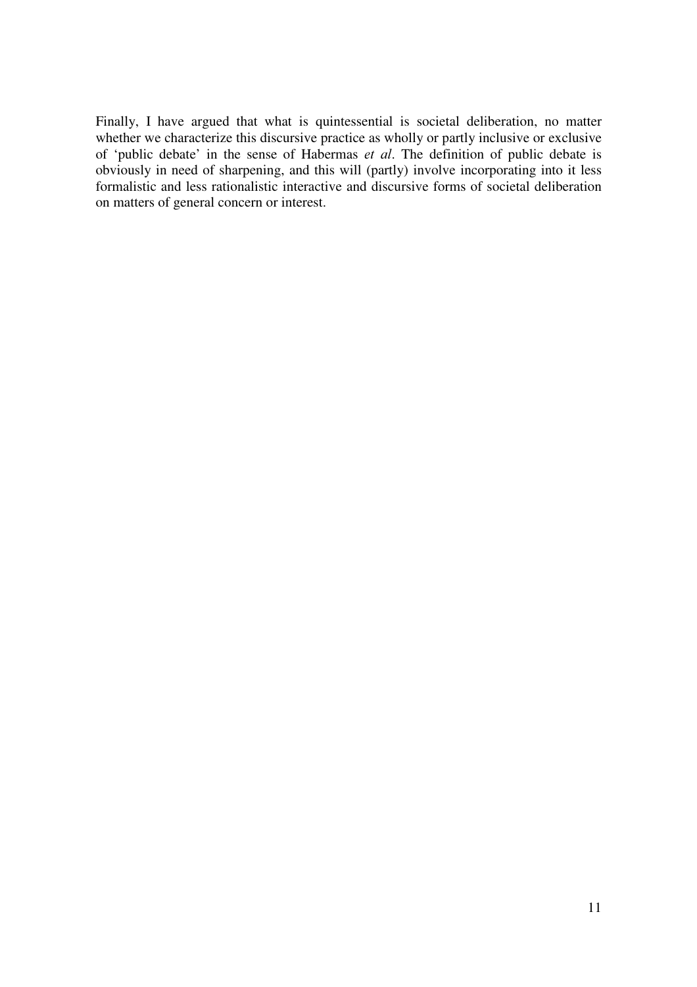Finally, I have argued that what is quintessential is societal deliberation, no matter whether we characterize this discursive practice as wholly or partly inclusive or exclusive of 'public debate' in the sense of Habermas et al. The definition of public debate is obviously in need of sharpening, and this will (partly) involve incorporating into it less formalistic and less rationalistic interactive and discursive forms of societal deliberation on matters of general concern or interest.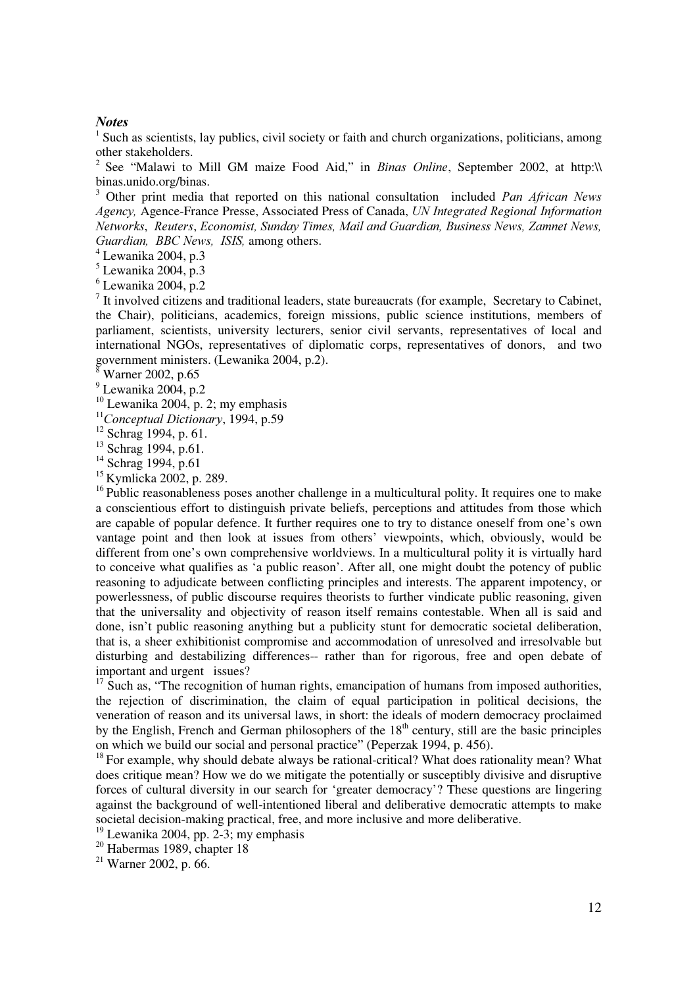#### **Notes**

<sup>1</sup> Such as scientists, lay publics, civil society or faith and church organizations, politicians, among other stakeholders.

<sup>2</sup> See "Malawi to Mill GM maize Food Aid," in *Binas Online*, September 2002, at http:\\ binas.unido.org/binas.

3 Other print media that reported on this national consultation included Pan African News Agency, Agence-France Presse, Associated Press of Canada, UN Integrated Regional Information Networks, Reuters, Economist, Sunday Times, Mail and Guardian, Business News, Zamnet News, Guardian, BBC News, ISIS, among others.

4 Lewanika 2004, p.3

5 Lewanika 2004, p.3

 $6$  Lewanika 2004, p.2

 $<sup>7</sup>$  It involved citizens and traditional leaders, state bureaucrats (for example, Secretary to Cabinet,</sup> the Chair), politicians, academics, foreign missions, public science institutions, members of parliament, scientists, university lecturers, senior civil servants, representatives of local and international NGOs, representatives of diplomatic corps, representatives of donors, and two government ministers. (Lewanika 2004, p.2).

 $^8$  Warner 2002, p.65

<sup>9</sup> Lewanika 2004, p.2

 $10$  Lewanika 2004, p. 2; my emphasis

 $11$ Conceptual Dictionary, 1994, p.59

 $12$  Schrag 1994, p. 61.

 $13$  Schrag 1994, p.61.

<sup>14</sup> Schrag 1994, p.61

<sup>15</sup> Kymlicka 2002, p. 289.

 $16$  Public reasonableness poses another challenge in a multicultural polity. It requires one to make a conscientious effort to distinguish private beliefs, perceptions and attitudes from those which are capable of popular defence. It further requires one to try to distance oneself from one's own vantage point and then look at issues from others' viewpoints, which, obviously, would be different from one's own comprehensive worldviews. In a multicultural polity it is virtually hard to conceive what qualifies as 'a public reason'. After all, one might doubt the potency of public reasoning to adjudicate between conflicting principles and interests. The apparent impotency, or powerlessness, of public discourse requires theorists to further vindicate public reasoning, given that the universality and objectivity of reason itself remains contestable. When all is said and done, isn't public reasoning anything but a publicity stunt for democratic societal deliberation, that is, a sheer exhibitionist compromise and accommodation of unresolved and irresolvable but disturbing and destabilizing differences-- rather than for rigorous, free and open debate of important and urgent issues?

 $17 \text{ Such as}$ , "The recognition of human rights, emancipation of humans from imposed authorities, the rejection of discrimination, the claim of equal participation in political decisions, the veneration of reason and its universal laws, in short: the ideals of modern democracy proclaimed by the English, French and German philosophers of the  $18<sup>th</sup>$  century, still are the basic principles on which we build our social and personal practice" (Peperzak 1994, p. 456).

<sup>18</sup> For example, why should debate always be rational-critical? What does rationality mean? What does critique mean? How we do we mitigate the potentially or susceptibly divisive and disruptive forces of cultural diversity in our search for 'greater democracy'? These questions are lingering against the background of well-intentioned liberal and deliberative democratic attempts to make societal decision-making practical, free, and more inclusive and more deliberative.

<sup>19</sup> Lewanika 2004, pp. 2-3; my emphasis

 $20$  Habermas 1989, chapter 18

 $21$  Warner 2002, p. 66.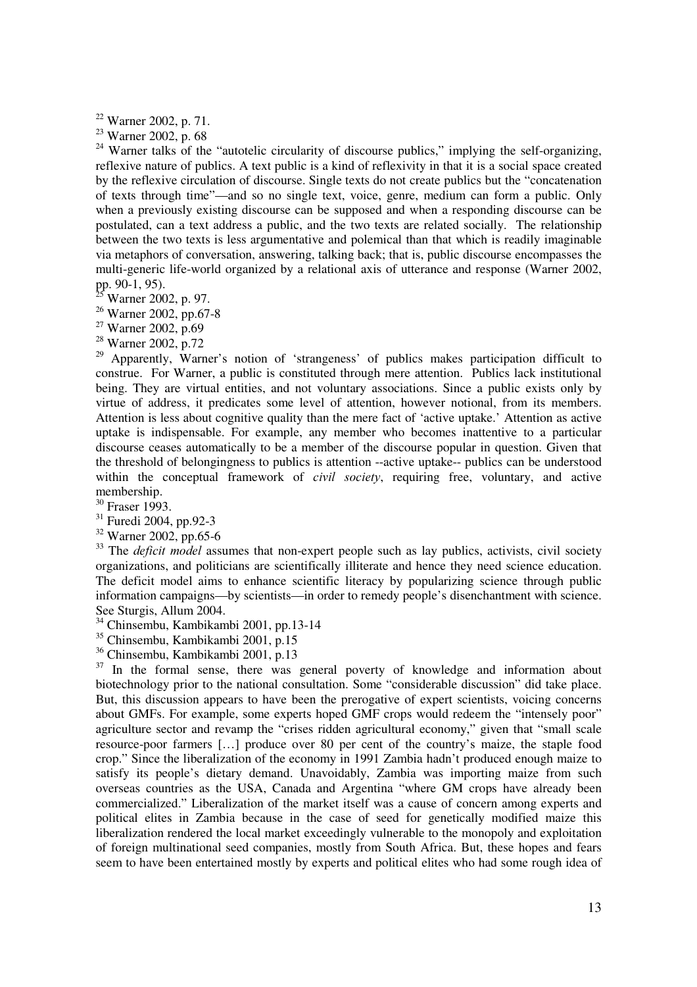<sup>22</sup> Warner 2002, p. 71.

<sup>23</sup> Warner 2002, p. 68

<sup>24</sup> Warner talks of the "autotelic circularity of discourse publics," implying the self-organizing, reflexive nature of publics. A text public is a kind of reflexivity in that it is a social space created by the reflexive circulation of discourse. Single texts do not create publics but the "concatenation of texts through time"—and so no single text, voice, genre, medium can form a public. Only when a previously existing discourse can be supposed and when a responding discourse can be postulated, can a text address a public, and the two texts are related socially. The relationship between the two texts is less argumentative and polemical than that which is readily imaginable via metaphors of conversation, answering, talking back; that is, public discourse encompasses the multi-generic life-world organized by a relational axis of utterance and response (Warner 2002, pp. 90-1, 95).

- Warner 2002, p. 97.
- <sup>26</sup> Warner 2002, pp.67-8
- $27$  Warner 2002, p.69
- <sup>28</sup> Warner 2002, p.72

<sup>29</sup> Apparently, Warner's notion of 'strangeness' of publics makes participation difficult to construe. For Warner, a public is constituted through mere attention. Publics lack institutional being. They are virtual entities, and not voluntary associations. Since a public exists only by virtue of address, it predicates some level of attention, however notional, from its members. Attention is less about cognitive quality than the mere fact of 'active uptake.' Attention as active uptake is indispensable. For example, any member who becomes inattentive to a particular discourse ceases automatically to be a member of the discourse popular in question. Given that the threshold of belongingness to publics is attention --active uptake-- publics can be understood within the conceptual framework of *civil society*, requiring free, voluntary, and active membership.

<sup>30</sup> Fraser 1993.

<sup>31</sup> Furedi 2004, pp.92-3

<sup>32</sup> Warner 2002, pp.65-6

 $33$  The *deficit model* assumes that non-expert people such as lay publics, activists, civil society organizations, and politicians are scientifically illiterate and hence they need science education. The deficit model aims to enhance scientific literacy by popularizing science through public information campaigns—by scientists—in order to remedy people's disenchantment with science. See Sturgis, Allum 2004.

<sup>34</sup> Chinsembu, Kambikambi 2001, pp.13-14

<sup>35</sup> Chinsembu, Kambikambi 2001, p.15

<sup>36</sup> Chinsembu, Kambikambi 2001, p.13

<sup>37</sup> In the formal sense, there was general poverty of knowledge and information about biotechnology prior to the national consultation. Some "considerable discussion" did take place. But, this discussion appears to have been the prerogative of expert scientists, voicing concerns about GMFs. For example, some experts hoped GMF crops would redeem the "intensely poor" agriculture sector and revamp the "crises ridden agricultural economy," given that "small scale resource-poor farmers […] produce over 80 per cent of the country's maize, the staple food crop." Since the liberalization of the economy in 1991 Zambia hadn't produced enough maize to satisfy its people's dietary demand. Unavoidably, Zambia was importing maize from such overseas countries as the USA, Canada and Argentina "where GM crops have already been commercialized." Liberalization of the market itself was a cause of concern among experts and political elites in Zambia because in the case of seed for genetically modified maize this liberalization rendered the local market exceedingly vulnerable to the monopoly and exploitation of foreign multinational seed companies, mostly from South Africa. But, these hopes and fears seem to have been entertained mostly by experts and political elites who had some rough idea of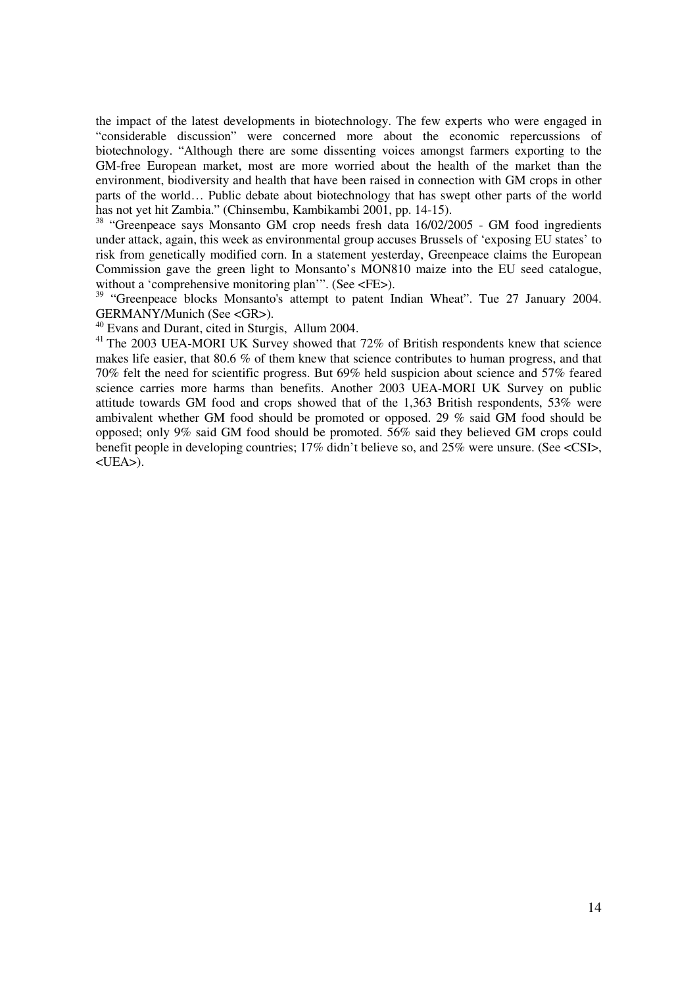the impact of the latest developments in biotechnology. The few experts who were engaged in "considerable discussion" were concerned more about the economic repercussions of biotechnology. "Although there are some dissenting voices amongst farmers exporting to the GM-free European market, most are more worried about the health of the market than the environment, biodiversity and health that have been raised in connection with GM crops in other parts of the world… Public debate about biotechnology that has swept other parts of the world has not yet hit Zambia." (Chinsembu, Kambikambi 2001, pp. 14-15).

<sup>38</sup> "Greenpeace says Monsanto GM crop needs fresh data 16/02/2005 - GM food ingredients under attack, again, this week as environmental group accuses Brussels of 'exposing EU states' to risk from genetically modified corn. In a statement yesterday, Greenpeace claims the European Commission gave the green light to Monsanto's MON810 maize into the EU seed catalogue, without a 'comprehensive monitoring plan'". (See <FE>).

<sup>39</sup> "Greenpeace blocks Monsanto's attempt to patent Indian Wheat". Tue 27 January 2004. GERMANY/Munich (See <GR>).

<sup>40</sup> Evans and Durant, cited in Sturgis, Allum 2004.

 $41$  The 2003 UEA-MORI UK Survey showed that 72% of British respondents knew that science makes life easier, that 80.6 % of them knew that science contributes to human progress, and that 70% felt the need for scientific progress. But 69% held suspicion about science and 57% feared science carries more harms than benefits. Another 2003 UEA-MORI UK Survey on public attitude towards GM food and crops showed that of the 1,363 British respondents, 53% were ambivalent whether GM food should be promoted or opposed. 29 % said GM food should be opposed; only 9% said GM food should be promoted. 56% said they believed GM crops could benefit people in developing countries; 17% didn't believe so, and 25% were unsure. (See <CSI>, <UEA>).